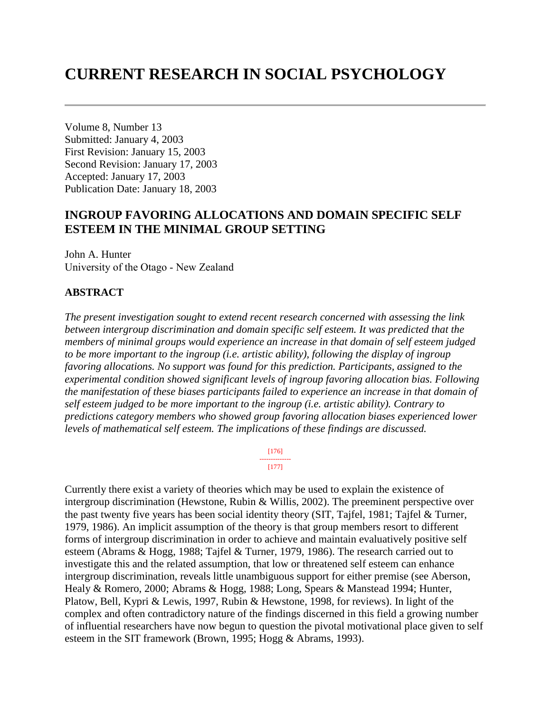# **CURRENT RESEARCH IN SOCIAL PSYCHOLOGY**

Volume 8, Number 13 Submitted: January 4, 2003 First Revision: January 15, 2003 Second Revision: January 17, 2003 Accepted: January 17, 2003 Publication Date: January 18, 2003

# **INGROUP FAVORING ALLOCATIONS AND DOMAIN SPECIFIC SELF ESTEEM IN THE MINIMAL GROUP SETTING**

John A. Hunter University of the Otago - New Zealand

### **ABSTRACT**

*The present investigation sought to extend recent research concerned with assessing the link between intergroup discrimination and domain specific self esteem. It was predicted that the members of minimal groups would experience an increase in that domain of self esteem judged to be more important to the ingroup (i.e. artistic ability), following the display of ingroup favoring allocations. No support was found for this prediction. Participants, assigned to the experimental condition showed significant levels of ingroup favoring allocation bias. Following the manifestation of these biases participants failed to experience an increase in that domain of self esteem judged to be more important to the ingroup (i.e. artistic ability). Contrary to predictions category members who showed group favoring allocation biases experienced lower levels of mathematical self esteem. The implications of these findings are discussed.*

> [176] -------------- [177]

Currently there exist a variety of theories which may be used to explain the existence of intergroup discrimination (Hewstone, Rubin & Willis, 2002). The preeminent perspective over the past twenty five years has been social identity theory (SIT, Tajfel, 1981; Tajfel & Turner, 1979, 1986). An implicit assumption of the theory is that group members resort to different forms of intergroup discrimination in order to achieve and maintain evaluatively positive self esteem (Abrams & Hogg, 1988; Tajfel & Turner, 1979, 1986). The research carried out to investigate this and the related assumption, that low or threatened self esteem can enhance intergroup discrimination, reveals little unambiguous support for either premise (see Aberson, Healy & Romero, 2000; Abrams & Hogg, 1988; Long, Spears & Manstead 1994; Hunter, Platow, Bell, Kypri & Lewis, 1997, Rubin & Hewstone, 1998, for reviews). In light of the complex and often contradictory nature of the findings discerned in this field a growing number of influential researchers have now begun to question the pivotal motivational place given to self esteem in the SIT framework (Brown, 1995; Hogg & Abrams, 1993).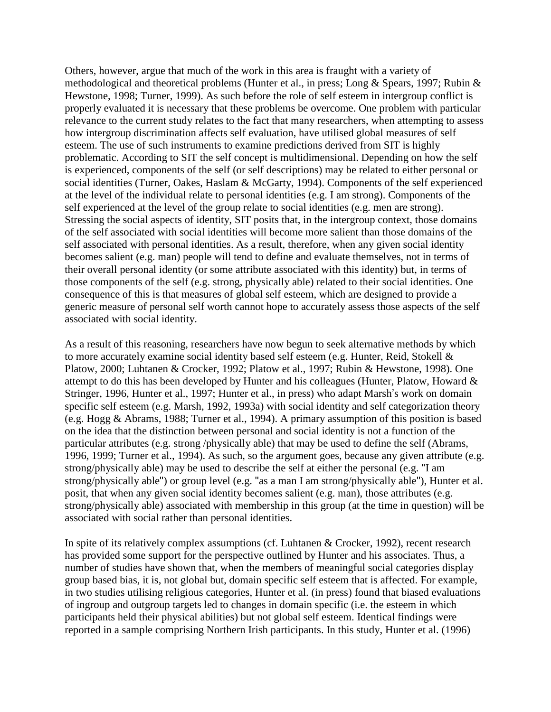Others, however, argue that much of the work in this area is fraught with a variety of methodological and theoretical problems (Hunter et al., in press; Long & Spears, 1997; Rubin & Hewstone, 1998; Turner, 1999). As such before the role of self esteem in intergroup conflict is properly evaluated it is necessary that these problems be overcome. One problem with particular relevance to the current study relates to the fact that many researchers, when attempting to assess how intergroup discrimination affects self evaluation, have utilised global measures of self esteem. The use of such instruments to examine predictions derived from SIT is highly problematic. According to SIT the self concept is multidimensional. Depending on how the self is experienced, components of the self (or self descriptions) may be related to either personal or social identities (Turner, Oakes, Haslam & McGarty, 1994). Components of the self experienced at the level of the individual relate to personal identities (e.g. I am strong). Components of the self experienced at the level of the group relate to social identities (e.g. men are strong). Stressing the social aspects of identity, SIT posits that, in the intergroup context, those domains of the self associated with social identities will become more salient than those domains of the self associated with personal identities. As a result, therefore, when any given social identity becomes salient (e.g. man) people will tend to define and evaluate themselves, not in terms of their overall personal identity (or some attribute associated with this identity) but, in terms of those components of the self (e.g. strong, physically able) related to their social identities. One consequence of this is that measures of global self esteem, which are designed to provide a generic measure of personal self worth cannot hope to accurately assess those aspects of the self associated with social identity.

As a result of this reasoning, researchers have now begun to seek alternative methods by which to more accurately examine social identity based self esteem (e.g. Hunter, Reid, Stokell & Platow, 2000; Luhtanen & Crocker, 1992; Platow et al., 1997; Rubin & Hewstone, 1998). One attempt to do this has been developed by Hunter and his colleagues (Hunter, Platow, Howard & Stringer, 1996, Hunter et al., 1997; Hunter et al., in press) who adapt Marsh's work on domain specific self esteem (e.g. Marsh, 1992, 1993a) with social identity and self categorization theory (e.g. Hogg & Abrams, 1988; Turner et al., 1994). A primary assumption of this position is based on the idea that the distinction between personal and social identity is not a function of the particular attributes (e.g. strong /physically able) that may be used to define the self (Abrams, 1996, 1999; Turner et al., 1994). As such, so the argument goes, because any given attribute (e.g. strong/physically able) may be used to describe the self at either the personal (e.g. "I am strong/physically able") or group level (e.g. "as a man I am strong/physically able"), Hunter et al. posit, that when any given social identity becomes salient (e.g. man), those attributes (e.g. strong/physically able) associated with membership in this group (at the time in question) will be associated with social rather than personal identities.

In spite of its relatively complex assumptions (cf. Luhtanen & Crocker, 1992), recent research has provided some support for the perspective outlined by Hunter and his associates. Thus, a number of studies have shown that, when the members of meaningful social categories display group based bias, it is, not global but, domain specific self esteem that is affected. For example, in two studies utilising religious categories, Hunter et al. (in press) found that biased evaluations of ingroup and outgroup targets led to changes in domain specific (i.e. the esteem in which participants held their physical abilities) but not global self esteem. Identical findings were reported in a sample comprising Northern Irish participants. In this study, Hunter et al. (1996)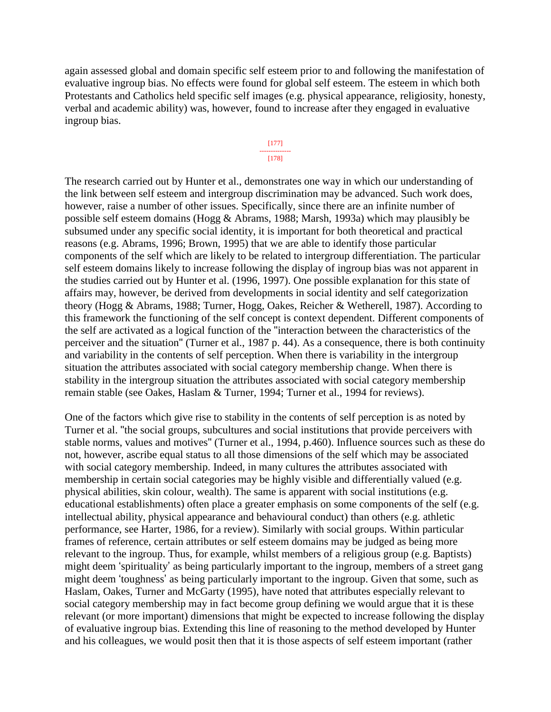again assessed global and domain specific self esteem prior to and following the manifestation of evaluative ingroup bias. No effects were found for global self esteem. The esteem in which both Protestants and Catholics held specific self images (e.g. physical appearance, religiosity, honesty, verbal and academic ability) was, however, found to increase after they engaged in evaluative ingroup bias.



The research carried out by Hunter et al., demonstrates one way in which our understanding of the link between self esteem and intergroup discrimination may be advanced. Such work does, however, raise a number of other issues. Specifically, since there are an infinite number of possible self esteem domains (Hogg & Abrams, 1988; Marsh, 1993a) which may plausibly be subsumed under any specific social identity, it is important for both theoretical and practical reasons (e.g. Abrams, 1996; Brown, 1995) that we are able to identify those particular components of the self which are likely to be related to intergroup differentiation. The particular self esteem domains likely to increase following the display of ingroup bias was not apparent in the studies carried out by Hunter et al. (1996, 1997). One possible explanation for this state of affairs may, however, be derived from developments in social identity and self categorization theory (Hogg & Abrams, 1988; Turner, Hogg, Oakes, Reicher & Wetherell, 1987). According to this framework the functioning of the self concept is context dependent. Different components of the self are activated as a logical function of the "interaction between the characteristics of the perceiver and the situation" (Turner et al., 1987 p. 44). As a consequence, there is both continuity and variability in the contents of self perception. When there is variability in the intergroup situation the attributes associated with social category membership change. When there is stability in the intergroup situation the attributes associated with social category membership remain stable (see Oakes, Haslam & Turner, 1994; Turner et al., 1994 for reviews).

One of the factors which give rise to stability in the contents of self perception is as noted by Turner et al. "the social groups, subcultures and social institutions that provide perceivers with stable norms, values and motives" (Turner et al., 1994, p.460). Influence sources such as these do not, however, ascribe equal status to all those dimensions of the self which may be associated with social category membership. Indeed, in many cultures the attributes associated with membership in certain social categories may be highly visible and differentially valued (e.g. physical abilities, skin colour, wealth). The same is apparent with social institutions (e.g. educational establishments) often place a greater emphasis on some components of the self (e.g. intellectual ability, physical appearance and behavioural conduct) than others (e.g. athletic performance, see Harter, 1986, for a review). Similarly with social groups. Within particular frames of reference, certain attributes or self esteem domains may be judged as being more relevant to the ingroup. Thus, for example, whilst members of a religious group (e.g. Baptists) might deem 'spirituality' as being particularly important to the ingroup, members of a street gang might deem 'toughness' as being particularly important to the ingroup. Given that some, such as Haslam, Oakes, Turner and McGarty (1995), have noted that attributes especially relevant to social category membership may in fact become group defining we would argue that it is these relevant (or more important) dimensions that might be expected to increase following the display of evaluative ingroup bias. Extending this line of reasoning to the method developed by Hunter and his colleagues, we would posit then that it is those aspects of self esteem important (rather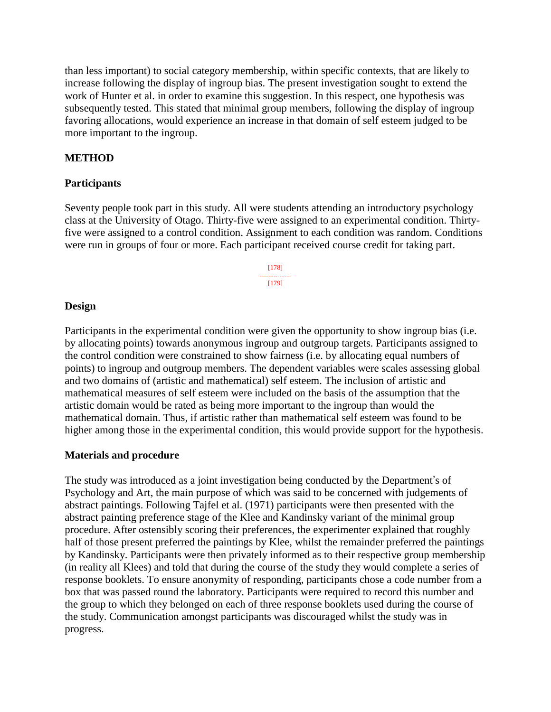than less important) to social category membership, within specific contexts, that are likely to increase following the display of ingroup bias. The present investigation sought to extend the work of Hunter et al. in order to examine this suggestion. In this respect, one hypothesis was subsequently tested. This stated that minimal group members, following the display of ingroup favoring allocations, would experience an increase in that domain of self esteem judged to be more important to the ingroup.

## **METHOD**

#### **Participants**

Seventy people took part in this study. All were students attending an introductory psychology class at the University of Otago. Thirty-five were assigned to an experimental condition. Thirtyfive were assigned to a control condition. Assignment to each condition was random. Conditions were run in groups of four or more. Each participant received course credit for taking part.

> [178] -------------- [179]

#### **Design**

Participants in the experimental condition were given the opportunity to show ingroup bias (i.e. by allocating points) towards anonymous ingroup and outgroup targets. Participants assigned to the control condition were constrained to show fairness (i.e. by allocating equal numbers of points) to ingroup and outgroup members. The dependent variables were scales assessing global and two domains of (artistic and mathematical) self esteem. The inclusion of artistic and mathematical measures of self esteem were included on the basis of the assumption that the artistic domain would be rated as being more important to the ingroup than would the mathematical domain. Thus, if artistic rather than mathematical self esteem was found to be higher among those in the experimental condition, this would provide support for the hypothesis.

### **Materials and procedure**

The study was introduced as a joint investigation being conducted by the Department's of Psychology and Art, the main purpose of which was said to be concerned with judgements of abstract paintings. Following Tajfel et al. (1971) participants were then presented with the abstract painting preference stage of the Klee and Kandinsky variant of the minimal group procedure. After ostensibly scoring their preferences, the experimenter explained that roughly half of those present preferred the paintings by Klee, whilst the remainder preferred the paintings by Kandinsky. Participants were then privately informed as to their respective group membership (in reality all Klees) and told that during the course of the study they would complete a series of response booklets. To ensure anonymity of responding, participants chose a code number from a box that was passed round the laboratory. Participants were required to record this number and the group to which they belonged on each of three response booklets used during the course of the study. Communication amongst participants was discouraged whilst the study was in progress.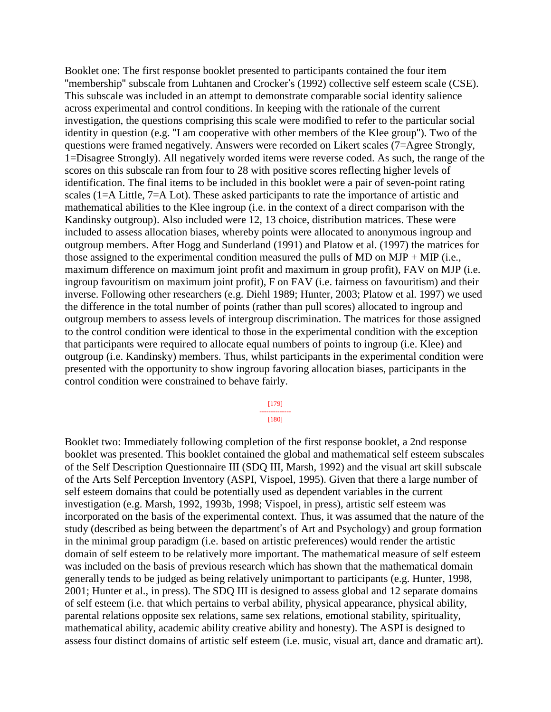Booklet one: The first response booklet presented to participants contained the four item "membership" subscale from Luhtanen and Crocker's (1992) collective self esteem scale (CSE). This subscale was included in an attempt to demonstrate comparable social identity salience across experimental and control conditions. In keeping with the rationale of the current investigation, the questions comprising this scale were modified to refer to the particular social identity in question (e.g. "I am cooperative with other members of the Klee group"). Two of the questions were framed negatively. Answers were recorded on Likert scales (7=Agree Strongly, 1=Disagree Strongly). All negatively worded items were reverse coded. As such, the range of the scores on this subscale ran from four to 28 with positive scores reflecting higher levels of identification. The final items to be included in this booklet were a pair of seven-point rating scales (1=A Little, 7=A Lot). These asked participants to rate the importance of artistic and mathematical abilities to the Klee ingroup (i.e. in the context of a direct comparison with the Kandinsky outgroup). Also included were 12, 13 choice, distribution matrices. These were included to assess allocation biases, whereby points were allocated to anonymous ingroup and outgroup members. After Hogg and Sunderland (1991) and Platow et al. (1997) the matrices for those assigned to the experimental condition measured the pulls of MD on MJP + MIP (i.e., maximum difference on maximum joint profit and maximum in group profit), FAV on MJP (i.e. ingroup favouritism on maximum joint profit), F on FAV (i.e. fairness on favouritism) and their inverse. Following other researchers (e.g. Diehl 1989; Hunter, 2003; Platow et al. 1997) we used the difference in the total number of points (rather than pull scores) allocated to ingroup and outgroup members to assess levels of intergroup discrimination. The matrices for those assigned to the control condition were identical to those in the experimental condition with the exception that participants were required to allocate equal numbers of points to ingroup (i.e. Klee) and outgroup (i.e. Kandinsky) members. Thus, whilst participants in the experimental condition were presented with the opportunity to show ingroup favoring allocation biases, participants in the control condition were constrained to behave fairly.

#### [179] --------------

[180]

Booklet two: Immediately following completion of the first response booklet, a 2nd response booklet was presented. This booklet contained the global and mathematical self esteem subscales of the Self Description Questionnaire III (SDQ III, Marsh, 1992) and the visual art skill subscale of the Arts Self Perception Inventory (ASPI, Vispoel, 1995). Given that there a large number of self esteem domains that could be potentially used as dependent variables in the current investigation (e.g. Marsh, 1992, 1993b, 1998; Vispoel, in press), artistic self esteem was incorporated on the basis of the experimental context. Thus, it was assumed that the nature of the study (described as being between the department's of Art and Psychology) and group formation in the minimal group paradigm (i.e. based on artistic preferences) would render the artistic domain of self esteem to be relatively more important. The mathematical measure of self esteem was included on the basis of previous research which has shown that the mathematical domain generally tends to be judged as being relatively unimportant to participants (e.g. Hunter, 1998, 2001; Hunter et al., in press). The SDQ III is designed to assess global and 12 separate domains of self esteem (i.e. that which pertains to verbal ability, physical appearance, physical ability, parental relations opposite sex relations, same sex relations, emotional stability, spirituality, mathematical ability, academic ability creative ability and honesty). The ASPI is designed to assess four distinct domains of artistic self esteem (i.e. music, visual art, dance and dramatic art).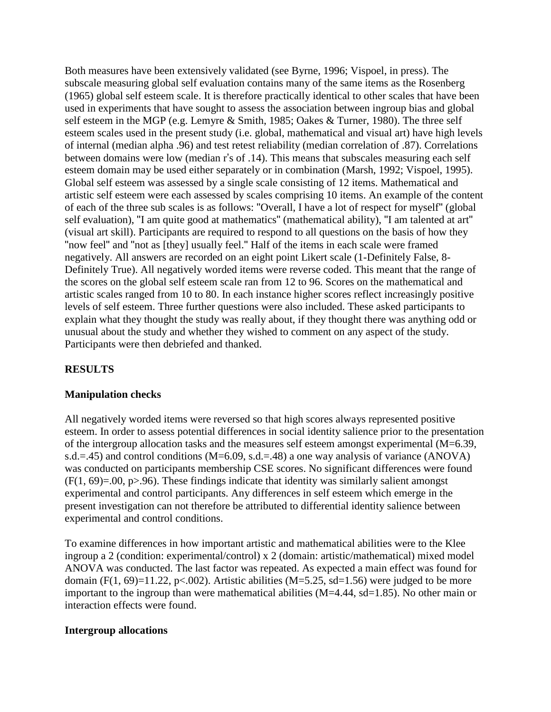Both measures have been extensively validated (see Byrne, 1996; Vispoel, in press). The subscale measuring global self evaluation contains many of the same items as the Rosenberg (1965) global self esteem scale. It is therefore practically identical to other scales that have been used in experiments that have sought to assess the association between ingroup bias and global self esteem in the MGP (e.g. Lemyre & Smith, 1985; Oakes & Turner, 1980). The three self esteem scales used in the present study (i.e. global, mathematical and visual art) have high levels of internal (median alpha .96) and test retest reliability (median correlation of .87). Correlations between domains were low (median r's of .14). This means that subscales measuring each self esteem domain may be used either separately or in combination (Marsh, 1992; Vispoel, 1995). Global self esteem was assessed by a single scale consisting of 12 items. Mathematical and artistic self esteem were each assessed by scales comprising 10 items. An example of the content of each of the three sub scales is as follows: "Overall, I have a lot of respect for myself" (global self evaluation), "I am quite good at mathematics" (mathematical ability), "I am talented at art" (visual art skill). Participants are required to respond to all questions on the basis of how they "now feel" and "not as [they] usually feel." Half of the items in each scale were framed negatively. All answers are recorded on an eight point Likert scale (1-Definitely False, 8- Definitely True). All negatively worded items were reverse coded. This meant that the range of the scores on the global self esteem scale ran from 12 to 96. Scores on the mathematical and artistic scales ranged from 10 to 80. In each instance higher scores reflect increasingly positive levels of self esteem. Three further questions were also included. These asked participants to explain what they thought the study was really about, if they thought there was anything odd or unusual about the study and whether they wished to comment on any aspect of the study. Participants were then debriefed and thanked.

# **RESULTS**

### **Manipulation checks**

All negatively worded items were reversed so that high scores always represented positive esteem. In order to assess potential differences in social identity salience prior to the presentation of the intergroup allocation tasks and the measures self esteem amongst experimental (M=6.39, s.d.=.45) and control conditions ( $M=6.09$ , s.d.=.48) a one way analysis of variance (ANOVA) was conducted on participants membership CSE scores. No significant differences were found  $(F(1, 69)=0.00, p>0.96)$ . These findings indicate that identity was similarly salient amongst experimental and control participants. Any differences in self esteem which emerge in the present investigation can not therefore be attributed to differential identity salience between experimental and control conditions.

To examine differences in how important artistic and mathematical abilities were to the Klee ingroup a 2 (condition: experimental/control) x 2 (domain: artistic/mathematical) mixed model ANOVA was conducted. The last factor was repeated. As expected a main effect was found for domain  $(F(1, 69)=11.22, p<0.002)$ . Artistic abilities  $(M=5.25, sd=1.56)$  were judged to be more important to the ingroup than were mathematical abilities (M=4.44, sd=1.85). No other main or interaction effects were found.

#### **Intergroup allocations**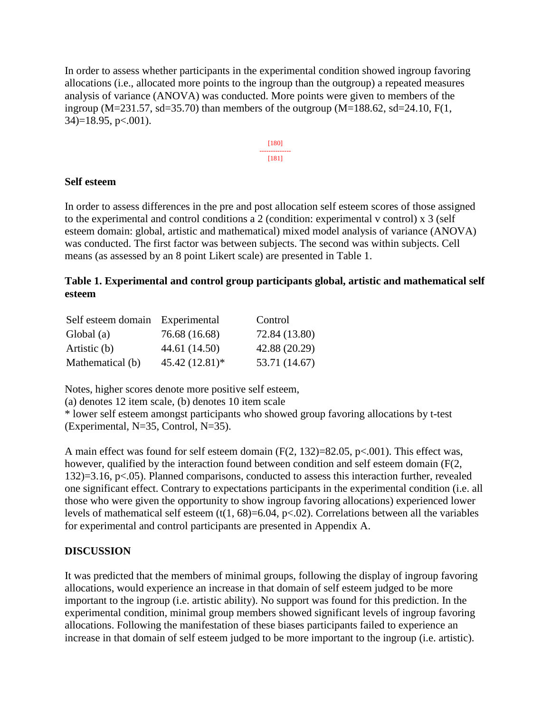In order to assess whether participants in the experimental condition showed ingroup favoring allocations (i.e., allocated more points to the ingroup than the outgroup) a repeated measures analysis of variance (ANOVA) was conducted. More points were given to members of the ingroup (M=231.57, sd=35.70) than members of the outgroup (M=188.62, sd=24.10, F(1,  $34$ )=18.95, p <.001).



### **Self esteem**

In order to assess differences in the pre and post allocation self esteem scores of those assigned to the experimental and control conditions a 2 (condition: experimental v control) x 3 (self esteem domain: global, artistic and mathematical) mixed model analysis of variance (ANOVA) was conducted. The first factor was between subjects. The second was within subjects. Cell means (as assessed by an 8 point Likert scale) are presented in Table 1.

# **Table 1. Experimental and control group participants global, artistic and mathematical self esteem**

| Self esteem domain Experimental |                  | Control       |
|---------------------------------|------------------|---------------|
| Global (a)                      | 76.68 (16.68)    | 72.84 (13.80) |
| Artistic (b)                    | 44.61 (14.50)    | 42.88 (20.29) |
| Mathematical (b)                | $45.42(12.81)$ * | 53.71 (14.67) |

Notes, higher scores denote more positive self esteem,

(a) denotes 12 item scale, (b) denotes 10 item scale

\* lower self esteem amongst participants who showed group favoring allocations by t-test (Experimental, N=35, Control, N=35).

A main effect was found for self esteem domain (F(2, 132)=82.05, p<.001). This effect was, however, qualified by the interaction found between condition and self esteem domain (F(2, 132)=3.16, p<.05). Planned comparisons, conducted to assess this interaction further, revealed one significant effect. Contrary to expectations participants in the experimental condition (i.e. all those who were given the opportunity to show ingroup favoring allocations) experienced lower levels of mathematical self esteem (t(1, 68)=6.04, p<.02). Correlations between all the variables for experimental and control participants are presented in Appendix A.

# **DISCUSSION**

It was predicted that the members of minimal groups, following the display of ingroup favoring allocations, would experience an increase in that domain of self esteem judged to be more important to the ingroup (i.e. artistic ability). No support was found for this prediction. In the experimental condition, minimal group members showed significant levels of ingroup favoring allocations. Following the manifestation of these biases participants failed to experience an increase in that domain of self esteem judged to be more important to the ingroup (i.e. artistic).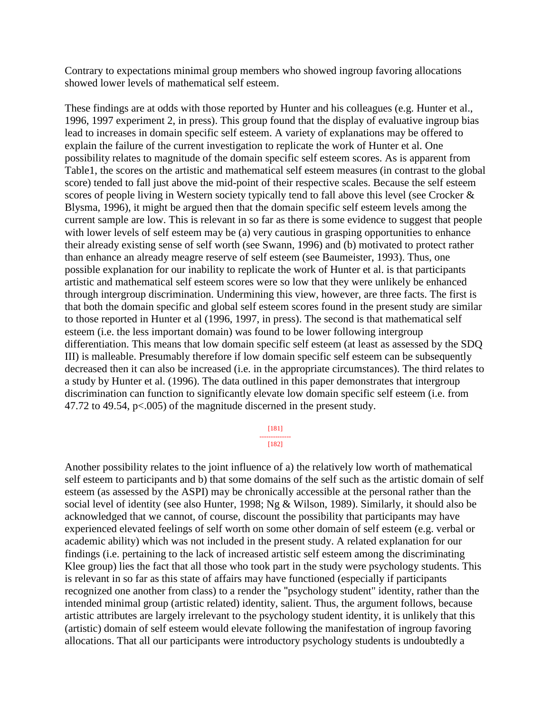Contrary to expectations minimal group members who showed ingroup favoring allocations showed lower levels of mathematical self esteem.

These findings are at odds with those reported by Hunter and his colleagues (e.g. Hunter et al., 1996, 1997 experiment 2, in press). This group found that the display of evaluative ingroup bias lead to increases in domain specific self esteem. A variety of explanations may be offered to explain the failure of the current investigation to replicate the work of Hunter et al. One possibility relates to magnitude of the domain specific self esteem scores. As is apparent from Table1, the scores on the artistic and mathematical self esteem measures (in contrast to the global score) tended to fall just above the mid-point of their respective scales. Because the self esteem scores of people living in Western society typically tend to fall above this level (see Crocker & Blysma, 1996), it might be argued then that the domain specific self esteem levels among the current sample are low. This is relevant in so far as there is some evidence to suggest that people with lower levels of self esteem may be (a) very cautious in grasping opportunities to enhance their already existing sense of self worth (see Swann, 1996) and (b) motivated to protect rather than enhance an already meagre reserve of self esteem (see Baumeister, 1993). Thus, one possible explanation for our inability to replicate the work of Hunter et al. is that participants artistic and mathematical self esteem scores were so low that they were unlikely be enhanced through intergroup discrimination. Undermining this view, however, are three facts. The first is that both the domain specific and global self esteem scores found in the present study are similar to those reported in Hunter et al (1996, 1997, in press). The second is that mathematical self esteem (i.e. the less important domain) was found to be lower following intergroup differentiation. This means that low domain specific self esteem (at least as assessed by the SDQ III) is malleable. Presumably therefore if low domain specific self esteem can be subsequently decreased then it can also be increased (i.e. in the appropriate circumstances). The third relates to a study by Hunter et al. (1996). The data outlined in this paper demonstrates that intergroup discrimination can function to significantly elevate low domain specific self esteem (i.e. from 47.72 to 49.54, p<.005) of the magnitude discerned in the present study.

> [181] --------------

[182]

Another possibility relates to the joint influence of a) the relatively low worth of mathematical self esteem to participants and b) that some domains of the self such as the artistic domain of self esteem (as assessed by the ASPI) may be chronically accessible at the personal rather than the social level of identity (see also Hunter, 1998; Ng & Wilson, 1989). Similarly, it should also be acknowledged that we cannot, of course, discount the possibility that participants may have experienced elevated feelings of self worth on some other domain of self esteem (e.g. verbal or academic ability) which was not included in the present study. A related explanation for our findings (i.e. pertaining to the lack of increased artistic self esteem among the discriminating Klee group) lies the fact that all those who took part in the study were psychology students. This is relevant in so far as this state of affairs may have functioned (especially if participants recognized one another from class) to a render the "psychology student" identity, rather than the intended minimal group (artistic related) identity, salient. Thus, the argument follows, because artistic attributes are largely irrelevant to the psychology student identity, it is unlikely that this (artistic) domain of self esteem would elevate following the manifestation of ingroup favoring allocations. That all our participants were introductory psychology students is undoubtedly a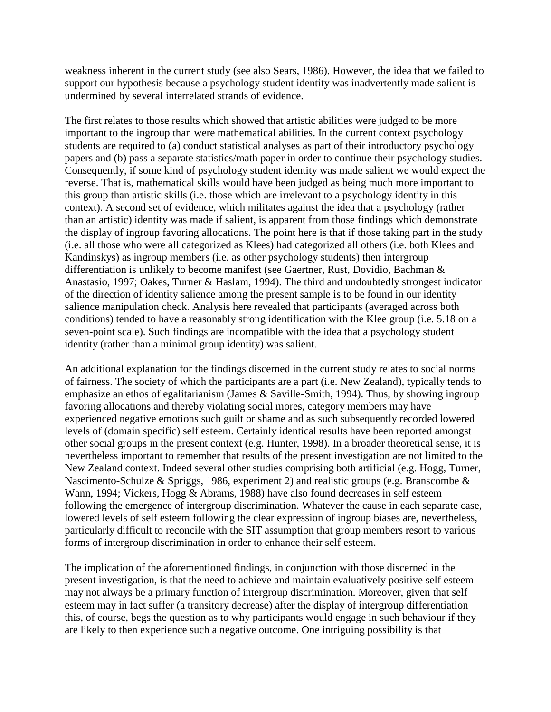weakness inherent in the current study (see also Sears, 1986). However, the idea that we failed to support our hypothesis because a psychology student identity was inadvertently made salient is undermined by several interrelated strands of evidence.

The first relates to those results which showed that artistic abilities were judged to be more important to the ingroup than were mathematical abilities. In the current context psychology students are required to (a) conduct statistical analyses as part of their introductory psychology papers and (b) pass a separate statistics/math paper in order to continue their psychology studies. Consequently, if some kind of psychology student identity was made salient we would expect the reverse. That is, mathematical skills would have been judged as being much more important to this group than artistic skills (i.e. those which are irrelevant to a psychology identity in this context). A second set of evidence, which militates against the idea that a psychology (rather than an artistic) identity was made if salient, is apparent from those findings which demonstrate the display of ingroup favoring allocations. The point here is that if those taking part in the study (i.e. all those who were all categorized as Klees) had categorized all others (i.e. both Klees and Kandinskys) as ingroup members (i.e. as other psychology students) then intergroup differentiation is unlikely to become manifest (see Gaertner, Rust, Dovidio, Bachman & Anastasio, 1997; Oakes, Turner & Haslam, 1994). The third and undoubtedly strongest indicator of the direction of identity salience among the present sample is to be found in our identity salience manipulation check. Analysis here revealed that participants (averaged across both conditions) tended to have a reasonably strong identification with the Klee group (i.e. 5.18 on a seven-point scale). Such findings are incompatible with the idea that a psychology student identity (rather than a minimal group identity) was salient.

An additional explanation for the findings discerned in the current study relates to social norms of fairness. The society of which the participants are a part (i.e. New Zealand), typically tends to emphasize an ethos of egalitarianism (James & Saville-Smith, 1994). Thus, by showing ingroup favoring allocations and thereby violating social mores, category members may have experienced negative emotions such guilt or shame and as such subsequently recorded lowered levels of (domain specific) self esteem. Certainly identical results have been reported amongst other social groups in the present context (e.g. Hunter, 1998). In a broader theoretical sense, it is nevertheless important to remember that results of the present investigation are not limited to the New Zealand context. Indeed several other studies comprising both artificial (e.g. Hogg, Turner, Nascimento-Schulze & Spriggs, 1986, experiment 2) and realistic groups (e.g. Branscombe & Wann, 1994; Vickers, Hogg & Abrams, 1988) have also found decreases in self esteem following the emergence of intergroup discrimination. Whatever the cause in each separate case, lowered levels of self esteem following the clear expression of ingroup biases are, nevertheless, particularly difficult to reconcile with the SIT assumption that group members resort to various forms of intergroup discrimination in order to enhance their self esteem.

The implication of the aforementioned findings, in conjunction with those discerned in the present investigation, is that the need to achieve and maintain evaluatively positive self esteem may not always be a primary function of intergroup discrimination. Moreover, given that self esteem may in fact suffer (a transitory decrease) after the display of intergroup differentiation this, of course, begs the question as to why participants would engage in such behaviour if they are likely to then experience such a negative outcome. One intriguing possibility is that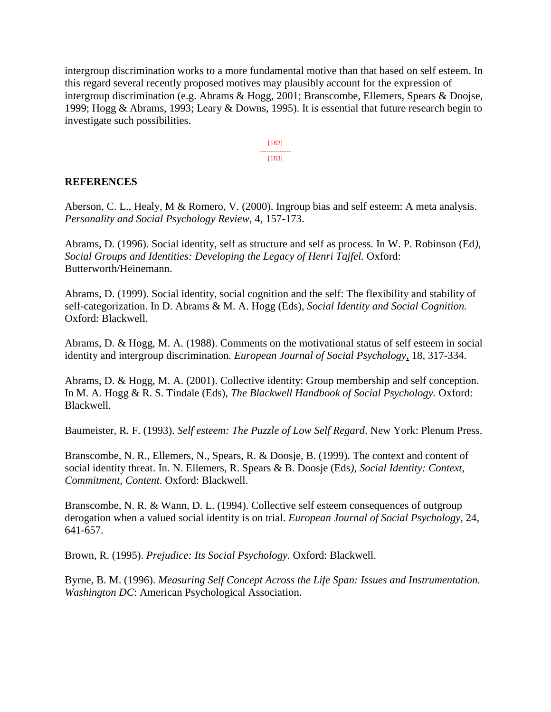intergroup discrimination works to a more fundamental motive than that based on self esteem. In this regard several recently proposed motives may plausibly account for the expression of intergroup discrimination (e.g. Abrams & Hogg, 2001; Branscombe, Ellemers, Spears & Doojse, 1999; Hogg & Abrams, 1993; Leary & Downs, 1995). It is essential that future research begin to investigate such possibilities.

> [182] -------------- [183]

#### **REFERENCES**

Aberson, C. L., Healy, M & Romero, V. (2000). Ingroup bias and self esteem: A meta analysis. *Personality and Social Psychology Review*, 4, 157-173.

Abrams, D. (1996). Social identity, self as structure and self as process. In W. P. Robinson (Ed*), Social Groups and Identities: Developing the Legacy of Henri Tajfel.* Oxford: Butterworth/Heinemann.

Abrams, D. (1999). Social identity, social cognition and the self: The flexibility and stability of self-categorization. In D. Abrams & M. A. Hogg (Eds), *Social Identity and Social Cognition.* Oxford: Blackwell.

Abrams, D. & Hogg, M. A. (1988). Comments on the motivational status of self esteem in social identity and intergroup discrimination*. European Journal of Social Psychology*, 18, 317-334.

Abrams, D. & Hogg, M. A. (2001). Collective identity: Group membership and self conception. In M. A. Hogg & R. S. Tindale (Eds), *The Blackwell Handbook of Social Psychology.* Oxford: Blackwell.

Baumeister, R. F. (1993). *Self esteem: The Puzzle of Low Self Regard*. New York: Plenum Press.

Branscombe, N. R., Ellemers, N., Spears, R. & Doosje, B. (1999). The context and content of social identity threat. In. N. Ellemers, R. Spears & B. Doosje (Eds*), Social Identity: Context, Commitment, Content*. Oxford: Blackwell.

Branscombe, N. R. & Wann, D. L. (1994). Collective self esteem consequences of outgroup derogation when a valued social identity is on trial. *European Journal of Social Psychology,* 24, 641-657.

Brown, R. (1995). *Prejudice: Its Social Psychology.* Oxford: Blackwell.

Byrne, B. M. (1996). *Measuring Self Concept Across the Life Span: Issues and Instrumentation. Washington DC*: American Psychological Association.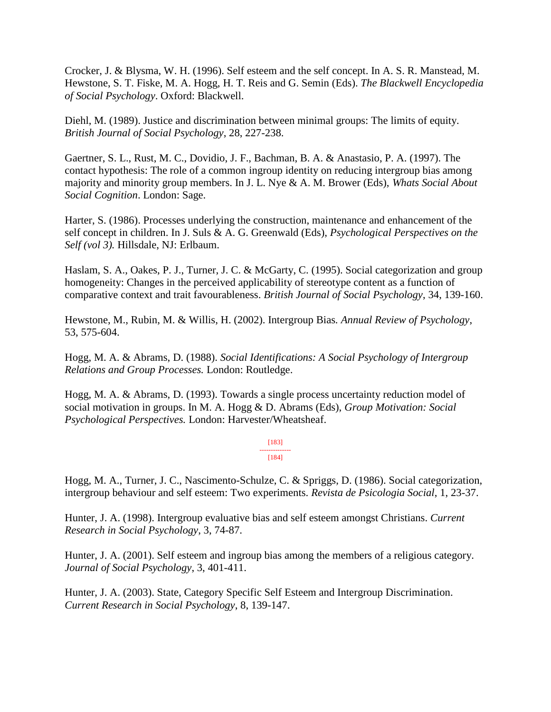Crocker, J. & Blysma, W. H. (1996). Self esteem and the self concept. In A. S. R. Manstead, M. Hewstone, S. T. Fiske, M. A. Hogg, H. T. Reis and G. Semin (Eds). *The Blackwell Encyclopedia of Social Psychology*. Oxford: Blackwell.

Diehl, M. (1989). Justice and discrimination between minimal groups: The limits of equity. *British Journal of Social Psychology*, 28, 227-238.

Gaertner, S. L., Rust, M. C., Dovidio, J. F., Bachman, B. A. & Anastasio, P. A. (1997). The contact hypothesis: The role of a common ingroup identity on reducing intergroup bias among majority and minority group members. In J. L. Nye & A. M. Brower (Eds), *Whats Social About Social Cognition*. London: Sage.

Harter, S. (1986). Processes underlying the construction, maintenance and enhancement of the self concept in children. In J. Suls & A. G. Greenwald (Eds), *Psychological Perspectives on the Self (vol 3).* Hillsdale, NJ: Erlbaum.

Haslam, S. A., Oakes, P. J., Turner, J. C. & McGarty, C. (1995). Social categorization and group homogeneity: Changes in the perceived applicability of stereotype content as a function of comparative context and trait favourableness. *British Journal of Social Psychology*, 34, 139-160.

Hewstone, M., Rubin, M. & Willis, H. (2002). Intergroup Bias*. Annual Review of Psychology*, 53, 575-604.

Hogg, M. A. & Abrams, D. (1988). *Social Identifications: A Social Psychology of Intergroup Relations and Group Processes.* London: Routledge.

Hogg, M. A. & Abrams, D. (1993). Towards a single process uncertainty reduction model of social motivation in groups. In M. A. Hogg & D. Abrams (Eds), *Group Motivation: Social Psychological Perspectives.* London: Harvester/Wheatsheaf.

#### [183] -------------- [184]

Hogg, M. A., Turner, J. C., Nascimento-Schulze, C. & Spriggs, D. (1986). Social categorization, intergroup behaviour and self esteem: Two experiments. *Revista de Psicologia Social*, 1, 23-37.

Hunter, J. A. (1998). Intergroup evaluative bias and self esteem amongst Christians. *Current Research in Social Psychology*, 3, 74-87.

Hunter, J. A. (2001). Self esteem and ingroup bias among the members of a religious category. *Journal of Social Psychology*, 3, 401-411.

Hunter, J. A. (2003). State, Category Specific Self Esteem and Intergroup Discrimination. *Current Research in Social Psychology*, 8, 139-147.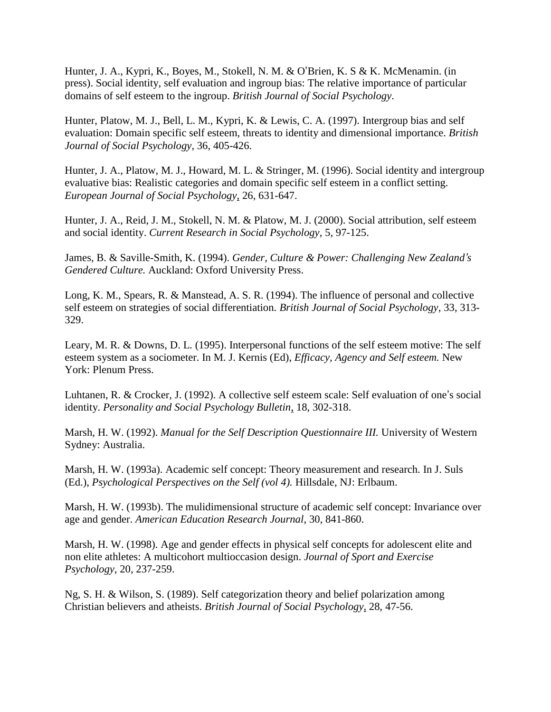Hunter, J. A., Kypri, K., Boyes, M., Stokell, N. M. & O'Brien, K. S & K. McMenamin. (in press). Social identity, self evaluation and ingroup bias: The relative importance of particular domains of self esteem to the ingroup. *British Journal of Social Psychology*.

Hunter, Platow, M. J., Bell, L. M., Kypri, K. & Lewis, C. A. (1997). Intergroup bias and self evaluation: Domain specific self esteem, threats to identity and dimensional importance. *British Journal of Social Psychology*, 36, 405-426.

Hunter, J. A., Platow, M. J., Howard, M. L. & Stringer, M. (1996). Social identity and intergroup evaluative bias: Realistic categories and domain specific self esteem in a conflict setting. *European Journal of Social Psychology*, 26, 631-647.

Hunter, J. A., Reid, J. M., Stokell, N. M. & Platow, M. J. (2000). Social attribution, self esteem and social identity. *Current Research in Social Psychology*, 5, 97-125.

James, B. & Saville-Smith, K. (1994). *Gender, Culture & Power: Challenging New Zealand's Gendered Culture.* Auckland: Oxford University Press.

Long, K. M., Spears, R. & Manstead, A. S. R. (1994). The influence of personal and collective self esteem on strategies of social differentiation. *British Journal of Social Psychology,* 33, 313- 329.

Leary, M. R. & Downs, D. L. (1995). Interpersonal functions of the self esteem motive: The self esteem system as a sociometer. In M. J. Kernis (Ed), *Efficacy, Agency and Self esteem.* New York: Plenum Press.

Luhtanen, R. & Crocker, J. (1992). A collective self esteem scale: Self evaluation of one's social identity. *Personality and Social Psychology Bulletin*, 18, 302-318.

Marsh, H. W. (1992). *Manual for the Self Description Questionnaire III.* University of Western Sydney: Australia.

Marsh, H. W. (1993a). Academic self concept: Theory measurement and research. In J. Suls (Ed.), *Psychological Perspectives on the Self (vol 4).* Hillsdale, NJ: Erlbaum.

Marsh, H. W. (1993b). The mulidimensional structure of academic self concept: Invariance over age and gender. *American Education Research Journal*, 30, 841-860.

Marsh, H. W. (1998). Age and gender effects in physical self concepts for adolescent elite and non elite athletes: A multicohort multioccasion design. *Journal of Sport and Exercise Psychology*, 20, 237-259.

Ng, S. H. & Wilson, S. (1989). Self categorization theory and belief polarization among Christian believers and atheists. *British Journal of Social Psychology*, 28, 47-56.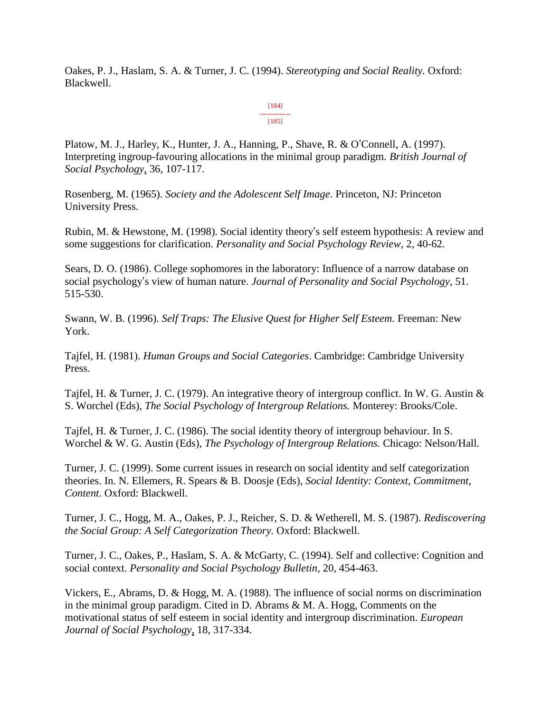Oakes, P. J., Haslam, S. A. & Turner, J. C. (1994). *Stereotyping and Social Reality.* Oxford: Blackwell.

#### [184] -------------- [185]

Platow, M. J., Harley, K., Hunter, J. A., Hanning, P., Shave, R. & O'Connell, A. (1997). Interpreting ingroup-favouring allocations in the minimal group paradigm*. British Journal of Social Psychology*, 36, 107-117.

Rosenberg, M. (1965). *Society and the Adolescent Self Image*. Princeton, NJ: Princeton University Press.

Rubin, M. & Hewstone, M. (1998). Social identity theory's self esteem hypothesis: A review and some suggestions for clarification. *Personality and Social Psychology Review,* 2, 40-62.

Sears, D. O. (1986). College sophomores in the laboratory: Influence of a narrow database on social psychology's view of human nature. *Journal of Personality and Social Psychology*, 51. 515-530.

Swann, W. B. (1996). *Self Traps: The Elusive Quest for Higher Self Esteem.* Freeman: New York.

Tajfel, H. (1981). *Human Groups and Social Categories*. Cambridge: Cambridge University Press.

Tajfel, H. & Turner, J. C. (1979). An integrative theory of intergroup conflict. In W. G. Austin & S. Worchel (Eds), *The Social Psychology of Intergroup Relations.* Monterey: Brooks/Cole.

Tajfel, H. & Turner, J. C. (1986). The social identity theory of intergroup behaviour. In S. Worchel & W. G. Austin (Eds), *The Psychology of Intergroup Relations.* Chicago: Nelson/Hall.

Turner, J. C. (1999). Some current issues in research on social identity and self categorization theories. In. N. Ellemers, R. Spears & B. Doosje (Eds), *Social Identity: Context, Commitment, Content*. Oxford: Blackwell.

Turner, J. C., Hogg, M. A., Oakes, P. J., Reicher, S. D. & Wetherell, M. S. (1987). *Rediscovering the Social Group: A Self Categorization Theory.* Oxford: Blackwell.

Turner, J. C., Oakes, P., Haslam, S. A. & McGarty, C. (1994). Self and collective: Cognition and social context. *Personality and Social Psychology Bulletin,* 20, 454-463.

Vickers, E., Abrams, D. & Hogg, M. A. (1988). The influence of social norms on discrimination in the minimal group paradigm. Cited in D. Abrams & M. A. Hogg, Comments on the motivational status of self esteem in social identity and intergroup discrimination. *European Journal of Social Psychology*, 18, 317-334.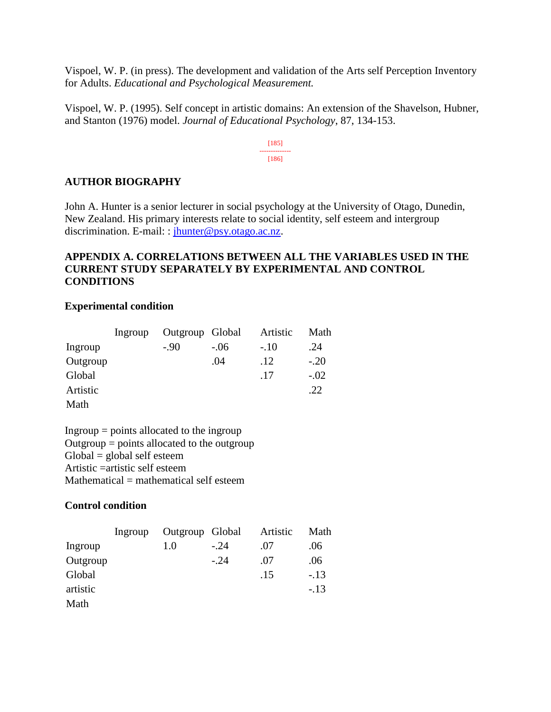Vispoel, W. P. (in press). The development and validation of the Arts self Perception Inventory for Adults. *Educational and Psychological Measurement.*

Vispoel, W. P. (1995). Self concept in artistic domains: An extension of the Shavelson, Hubner, and Stanton (1976) model. *Journal of Educational Psychology*, 87, 134-153.

> [185] -------------- [186]

### **AUTHOR BIOGRAPHY**

John A. Hunter is a senior lecturer in social psychology at the University of Otago, Dunedin, New Zealand. His primary interests relate to social identity, self esteem and intergroup discrimination. E-mail: : *jhunter@psy.otago.ac.nz.* 

# **APPENDIX A. CORRELATIONS BETWEEN ALL THE VARIABLES USED IN THE CURRENT STUDY SEPARATELY BY EXPERIMENTAL AND CONTROL CONDITIONS**

### **Experimental condition**

|          | Ingroup | Outgroup Global |        | Artistic | Math   |
|----------|---------|-----------------|--------|----------|--------|
| Ingroup  |         | $-.90$          | $-.06$ | $-.10$   | .24    |
| Outgroup |         |                 | .04    | .12      | $-.20$ |
| Global   |         |                 |        | .17      | $-.02$ |
| Artistic |         |                 |        |          | .22    |
| Math     |         |                 |        |          |        |

 $Ingroup = points allocated to the ingroup$ Outgroup  $=$  points allocated to the outgroup  $Global = global self esteem$ Artistic =artistic self esteem  $Mathematical = mathematical self.$ 

# **Control condition**

|          | Ingroup | Outgroup Global |        | Artistic | Math   |
|----------|---------|-----------------|--------|----------|--------|
| Ingroup  |         | 1.0             | $-.24$ | .07      | .06    |
| Outgroup |         |                 | $-.24$ | .07      | .06    |
| Global   |         |                 |        | .15      | $-.13$ |
| artistic |         |                 |        |          | $-.13$ |
| Math     |         |                 |        |          |        |